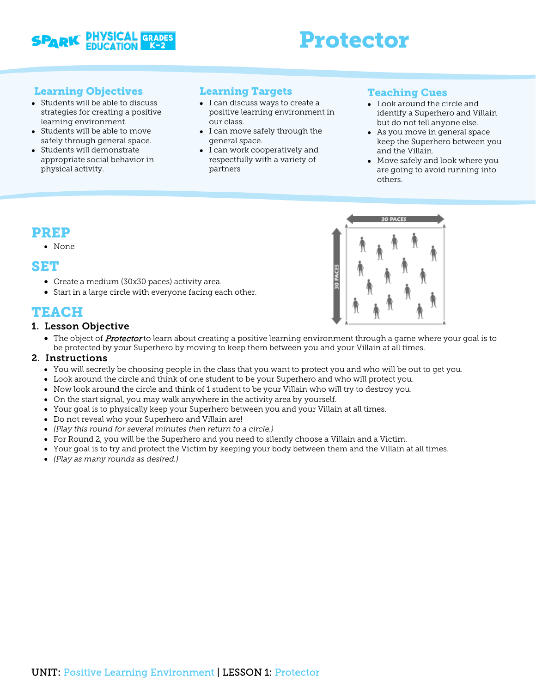

# Protector

## Learning Objectives

- Students will be able to discuss strategies for creating a positive learning environment.
- Students will be able to move safely through general space.
- Students will demonstrate appropriate social behavior in physical activity.

## Learning Targets

- I can discuss ways to create a positive learning environment in our class.
- I can move safely through the general space.
- I can work cooperatively and respectfully with a variety of partners

## Teaching Cues

- Look around the circle and identify a Superhero and Villain but do not tell anyone else.
- As you move in general space keep the Superhero between you and the Villain.
- Move safely and look where you are going to avoid running into others.

## PREP

#### • None

## SET

- Create a medium (30x30 paces) activity area.
- Start in a large circle with everyone facing each other.

# TEACH

### 1. Lesson Objective

• The object of **Protector** to learn about creating a positive learning environment through a game where your goal is to be protected by your Superhero by moving to keep them between you and your Villain at all times.

### 2. Instructions

- You will secretly be choosing people in the class that you want to protect you and who will be out to get you.
- Look around the circle and think of one student to be your Superhero and who will protect you.
- Now look around the circle and think of 1 student to be your Villain who will try to destroy you.
- On the start signal, you may walk anywhere in the activity area by yourself.
- Your goal is to physically keep your Superhero between you and your Villain at all times.
- Do not reveal who your Superhero and Villain are!
- *(Play this round for several minutes then return to a circle.)*
- For Round 2, you will be the Superhero and you need to silently choose a Villain and a Victim.
- Your goal is to try and protect the Victim by keeping your body between them and the Villain at all times.
- *(Play as many rounds as desired.)*

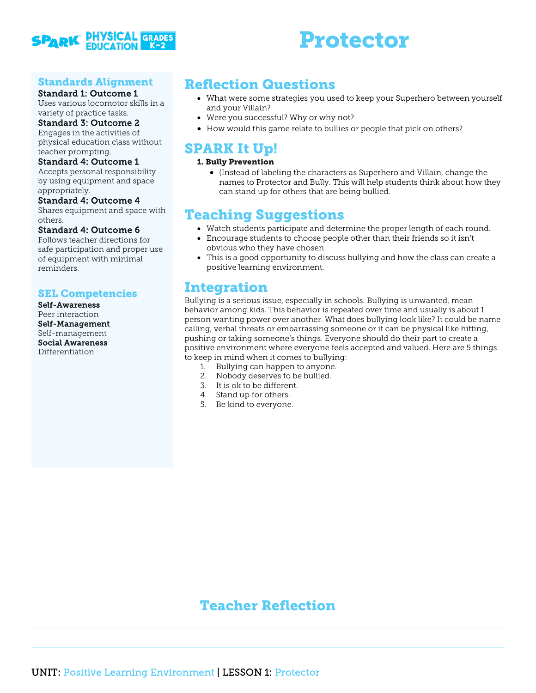

# Protector

## Standards Alignment

#### Standard 1: Outcome 1

Uses various locomotor skills in a variety of practice tasks.

#### Standard 3: Outcome 2

Engages in the activities of physical education class without teacher prompting.

#### Standard 4: Outcome 1

Accepts personal responsibility by using equipment and space appropriately.

#### Standard 4: Outcome 4

Shares equipment and space with others.

#### Standard 4: Outcome 6

Follows teacher directions for safe participation and proper use of equipment with minimal reminders.

## SEL Competencies

Self-Awareness Peer interaction Self-Management Self-management Social Awareness Differentiation

# Reflection Questions

- What were some strategies you used to keep your Superhero between yourself and your Villain?
- Were you successful? Why or why not?
- How would this game relate to bullies or people that pick on others?

## SPARK It Up!

#### 1. Bully Prevention

• (Instead of labeling the characters as Superhero and Villain, change the names to Protector and Bully. This will help students think about how they can stand up for others that are being bullied.

# Teaching Suggestions

- Watch students participate and determine the proper length of each round.
- Encourage students to choose people other than their friends so it isn't obvious who they have chosen.
- This is a good opportunity to discuss bullying and how the class can create a positive learning environment.

## Integration

Bullying is a serious issue, especially in schools. Bullying is unwanted, mean behavior among kids. This behavior is repeated over time and usually is about 1 person wanting power over another. What does bullying look like? It could be name calling, verbal threats or embarrassing someone or it can be physical like hitting, pushing or taking someone's things. Everyone should do their part to create a positive environment where everyone feels accepted and valued. Here are 5 things to keep in mind when it comes to bullying:

- 1. Bullying can happen to anyone.
- 2. Nobody deserves to be bullied.
- 3. It is ok to be different.
- 4. Stand up for others.
- 5. Be kind to everyone.

# Teacher Reflection